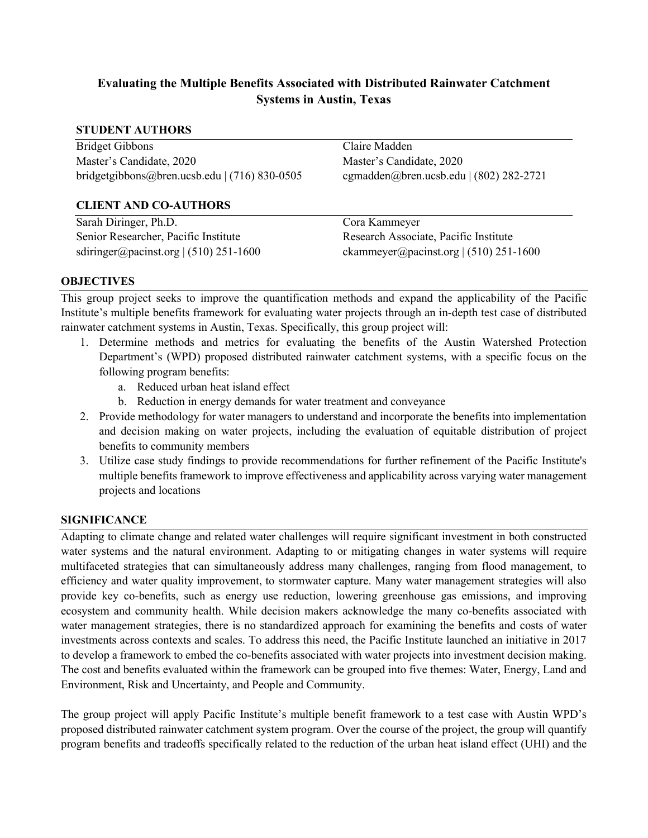# **Evaluating the Multiple Benefits Associated with Distributed Rainwater Catchment Systems in Austin, Texas**

### **STUDENT AUTHORS**

Bridget Gibbons Master's Candidate, 2020 bridgetgibbons@bren.ucsb.edu | (716) 830-0505

### **CLIENT AND CO-AUTHORS**

Sarah Diringer, Ph.D. Senior Researcher, Pacific Institute sdiringer@pacinst.org  $(510)$  251-1600 Claire Madden Master's Candidate, 2020 cgmadden@bren.ucsb.edu | (802) 282-2721

Cora Kammeyer Research Associate, Pacific Institute ckammeyer@pacinst.org  $(510)$  251-1600

### **OBJECTIVES**

This group project seeks to improve the quantification methods and expand the applicability of the Pacific Institute's multiple benefits framework for evaluating water projects through an in-depth test case of distributed rainwater catchment systems in Austin, Texas. Specifically, this group project will:

- 1. Determine methods and metrics for evaluating the benefits of the Austin Watershed Protection Department's (WPD) proposed distributed rainwater catchment systems, with a specific focus on the following program benefits:
	- a. Reduced urban heat island effect
	- b. Reduction in energy demands for water treatment and conveyance
- 2. Provide methodology for water managers to understand and incorporate the benefits into implementation and decision making on water projects, including the evaluation of equitable distribution of project benefits to community members
- 3. Utilize case study findings to provide recommendations for further refinement of the Pacific Institute's multiple benefits framework to improve effectiveness and applicability across varying water management projects and locations

### **SIGNIFICANCE**

Adapting to climate change and related water challenges will require significant investment in both constructed water systems and the natural environment. Adapting to or mitigating changes in water systems will require multifaceted strategies that can simultaneously address many challenges, ranging from flood management, to efficiency and water quality improvement, to stormwater capture. Many water management strategies will also provide key co-benefits, such as energy use reduction, lowering greenhouse gas emissions, and improving ecosystem and community health. While decision makers acknowledge the many co-benefits associated with water management strategies, there is no standardized approach for examining the benefits and costs of water investments across contexts and scales. To address this need, the Pacific Institute launched an initiative in 2017 to develop a framework to embed the co-benefits associated with water projects into investment decision making. The cost and benefits evaluated within the framework can be grouped into five themes: Water, Energy, Land and Environment, Risk and Uncertainty, and People and Community.

The group project will apply Pacific Institute's multiple benefit framework to a test case with Austin WPD's proposed distributed rainwater catchment system program. Over the course of the project, the group will quantify program benefits and tradeoffs specifically related to the reduction of the urban heat island effect (UHI) and the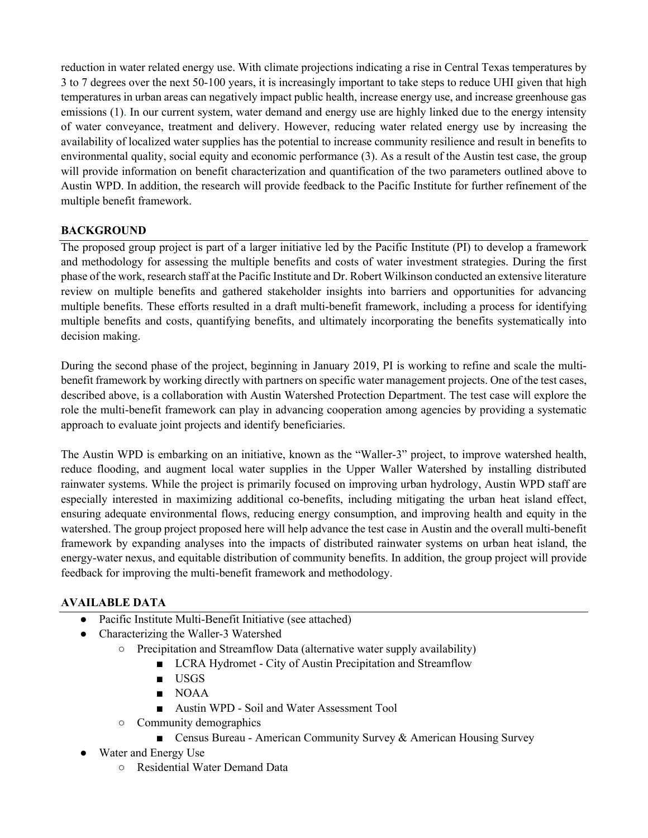reduction in water related energy use. With climate projections indicating a rise in Central Texas temperatures by 3 to 7 degrees over the next 50-100 years, it is increasingly important to take steps to reduce UHI given that high temperatures in urban areas can negatively impact public health, increase energy use, and increase greenhouse gas emissions (1). In our current system, water demand and energy use are highly linked due to the energy intensity of water conveyance, treatment and delivery. However, reducing water related energy use by increasing the availability of localized water supplies has the potential to increase community resilience and result in benefits to environmental quality, social equity and economic performance (3). As a result of the Austin test case, the group will provide information on benefit characterization and quantification of the two parameters outlined above to Austin WPD. In addition, the research will provide feedback to the Pacific Institute for further refinement of the multiple benefit framework.

### **BACKGROUND**

The proposed group project is part of a larger initiative led by the Pacific Institute (PI) to develop a framework and methodology for assessing the multiple benefits and costs of water investment strategies. During the first phase of the work, research staff at the Pacific Institute and Dr. Robert Wilkinson conducted an extensive literature review on multiple benefits and gathered stakeholder insights into barriers and opportunities for advancing multiple benefits. These efforts resulted in a draft multi-benefit framework, including a process for identifying multiple benefits and costs, quantifying benefits, and ultimately incorporating the benefits systematically into decision making.

During the second phase of the project, beginning in January 2019, PI is working to refine and scale the multibenefit framework by working directly with partners on specific water management projects. One of the test cases, described above, is a collaboration with Austin Watershed Protection Department. The test case will explore the role the multi-benefit framework can play in advancing cooperation among agencies by providing a systematic approach to evaluate joint projects and identify beneficiaries.

The Austin WPD is embarking on an initiative, known as the "Waller-3" project, to improve watershed health, reduce flooding, and augment local water supplies in the Upper Waller Watershed by installing distributed rainwater systems. While the project is primarily focused on improving urban hydrology, Austin WPD staff are especially interested in maximizing additional co-benefits, including mitigating the urban heat island effect, ensuring adequate environmental flows, reducing energy consumption, and improving health and equity in the watershed. The group project proposed here will help advance the test case in Austin and the overall multi-benefit framework by expanding analyses into the impacts of distributed rainwater systems on urban heat island, the energy-water nexus, and equitable distribution of community benefits. In addition, the group project will provide feedback for improving the multi-benefit framework and methodology.

## **AVAILABLE DATA**

- Pacific Institute Multi-Benefit Initiative (see attached)
- Characterizing the Waller-3 Watershed
	- Precipitation and Streamflow Data (alternative water supply availability)
		- LCRA Hydromet City of Austin Precipitation and Streamflow
		- USGS
		- NOAA
		- Austin WPD Soil and Water Assessment Tool
	- Community demographics
		- Census Bureau American Community Survey & American Housing Survey
- Water and Energy Use
	- Residential Water Demand Data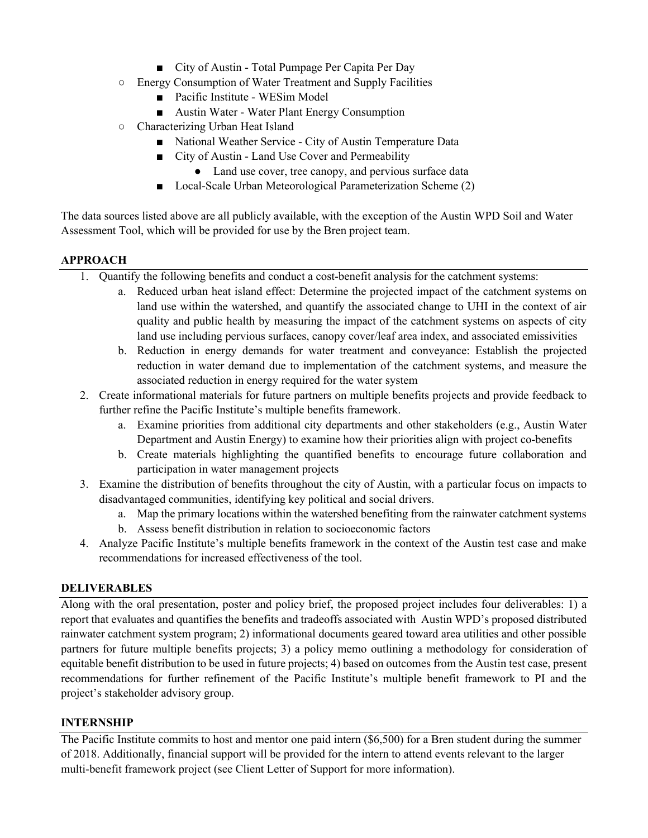- City of Austin Total Pumpage Per Capita Per Day
- Energy Consumption of Water Treatment and Supply Facilities
	- Pacific Institute WESim Model
	- Austin Water Water Plant Energy Consumption
- Characterizing Urban Heat Island
	- National Weather Service City of Austin Temperature Data
	- City of Austin Land Use Cover and Permeability
		- Land use cover, tree canopy, and pervious surface data
	- Local-Scale Urban Meteorological Parameterization Scheme (2)

The data sources listed above are all publicly available, with the exception of the Austin WPD Soil and Water Assessment Tool, which will be provided for use by the Bren project team.

### **APPROACH**

- 1. Quantify the following benefits and conduct a cost-benefit analysis for the catchment systems:
	- a. Reduced urban heat island effect: Determine the projected impact of the catchment systems on land use within the watershed, and quantify the associated change to UHI in the context of air quality and public health by measuring the impact of the catchment systems on aspects of city land use including pervious surfaces, canopy cover/leaf area index, and associated emissivities
	- b. Reduction in energy demands for water treatment and conveyance: Establish the projected reduction in water demand due to implementation of the catchment systems, and measure the associated reduction in energy required for the water system
- 2. Create informational materials for future partners on multiple benefits projects and provide feedback to further refine the Pacific Institute's multiple benefits framework.
	- a. Examine priorities from additional city departments and other stakeholders (e.g., Austin Water Department and Austin Energy) to examine how their priorities align with project co-benefits
	- b. Create materials highlighting the quantified benefits to encourage future collaboration and participation in water management projects
- 3. Examine the distribution of benefits throughout the city of Austin, with a particular focus on impacts to disadvantaged communities, identifying key political and social drivers.
	- a. Map the primary locations within the watershed benefiting from the rainwater catchment systems
	- b. Assess benefit distribution in relation to socioeconomic factors
- 4. Analyze Pacific Institute's multiple benefits framework in the context of the Austin test case and make recommendations for increased effectiveness of the tool.

### **DELIVERABLES**

Along with the oral presentation, poster and policy brief, the proposed project includes four deliverables: 1) a report that evaluates and quantifies the benefits and tradeoffs associated with Austin WPD's proposed distributed rainwater catchment system program; 2) informational documents geared toward area utilities and other possible partners for future multiple benefits projects; 3) a policy memo outlining a methodology for consideration of equitable benefit distribution to be used in future projects; 4) based on outcomes from the Austin test case, present recommendations for further refinement of the Pacific Institute's multiple benefit framework to PI and the project's stakeholder advisory group.

#### **INTERNSHIP**

The Pacific Institute commits to host and mentor one paid intern (\$6,500) for a Bren student during the summer of 2018. Additionally, financial support will be provided for the intern to attend events relevant to the larger multi-benefit framework project (see Client Letter of Support for more information).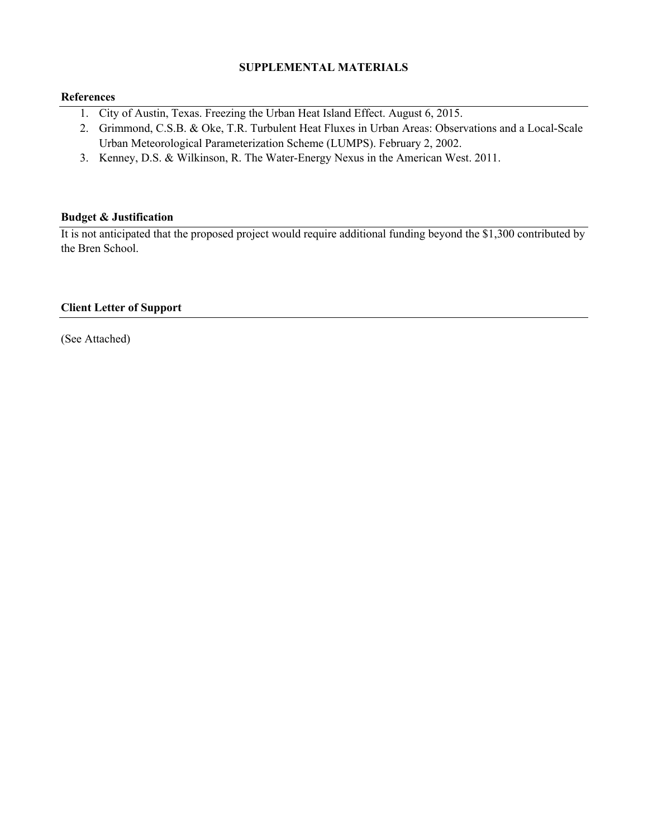### **SUPPLEMENTAL MATERIALS**

#### **References**

- 1. City of Austin, Texas. Freezing the Urban Heat Island Effect. August 6, 2015.
- 2. Grimmond, C.S.B. & Oke, T.R. Turbulent Heat Fluxes in Urban Areas: Observations and a Local-Scale Urban Meteorological Parameterization Scheme (LUMPS). February 2, 2002.
- 3. Kenney, D.S. & Wilkinson, R. The Water-Energy Nexus in the American West. 2011.

### **Budget & Justification**

It is not anticipated that the proposed project would require additional funding beyond the \$1,300 contributed by the Bren School.

### **Client Letter of Support**

(See Attached)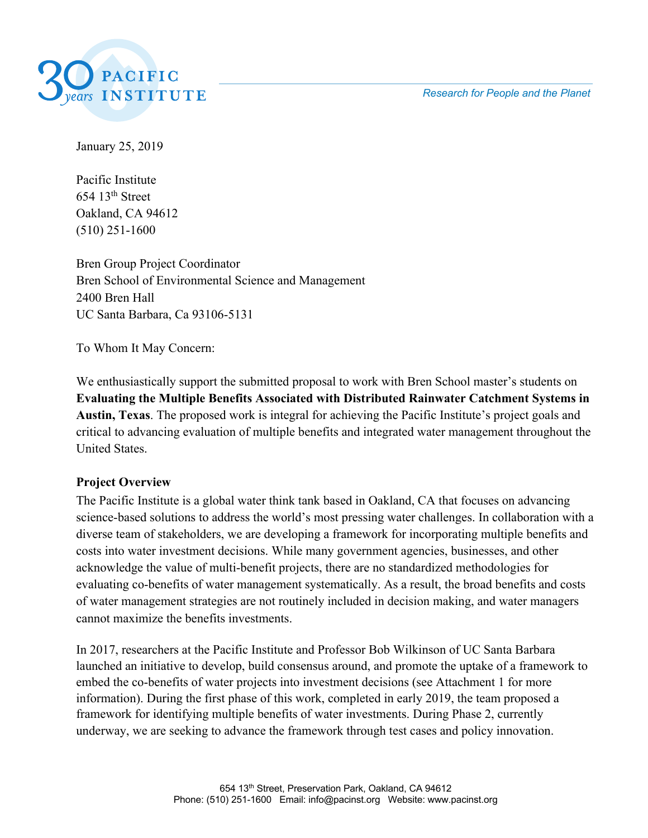*Research for People and the Planet*



January 25, 2019

Pacific Institute  $654$  13<sup>th</sup> Street Oakland, CA 94612 (510) 251-1600

Bren Group Project Coordinator Bren School of Environmental Science and Management 2400 Bren Hall UC Santa Barbara, Ca 93106-5131

To Whom It May Concern:

We enthusiastically support the submitted proposal to work with Bren School master's students on **Evaluating the Multiple Benefits Associated with Distributed Rainwater Catchment Systems in Austin, Texas**. The proposed work is integral for achieving the Pacific Institute's project goals and critical to advancing evaluation of multiple benefits and integrated water management throughout the United States.

## **Project Overview**

The Pacific Institute is a global water think tank based in Oakland, CA that focuses on advancing science-based solutions to address the world's most pressing water challenges. In collaboration with a diverse team of stakeholders, we are developing a framework for incorporating multiple benefits and costs into water investment decisions. While many government agencies, businesses, and other acknowledge the value of multi-benefit projects, there are no standardized methodologies for evaluating co-benefits of water management systematically. As a result, the broad benefits and costs of water management strategies are not routinely included in decision making, and water managers cannot maximize the benefits investments.

In 2017, researchers at the Pacific Institute and Professor Bob Wilkinson of UC Santa Barbara launched an initiative to develop, build consensus around, and promote the uptake of a framework to embed the co-benefits of water projects into investment decisions (see Attachment 1 for more information). During the first phase of this work, completed in early 2019, the team proposed a framework for identifying multiple benefits of water investments. During Phase 2, currently underway, we are seeking to advance the framework through test cases and policy innovation.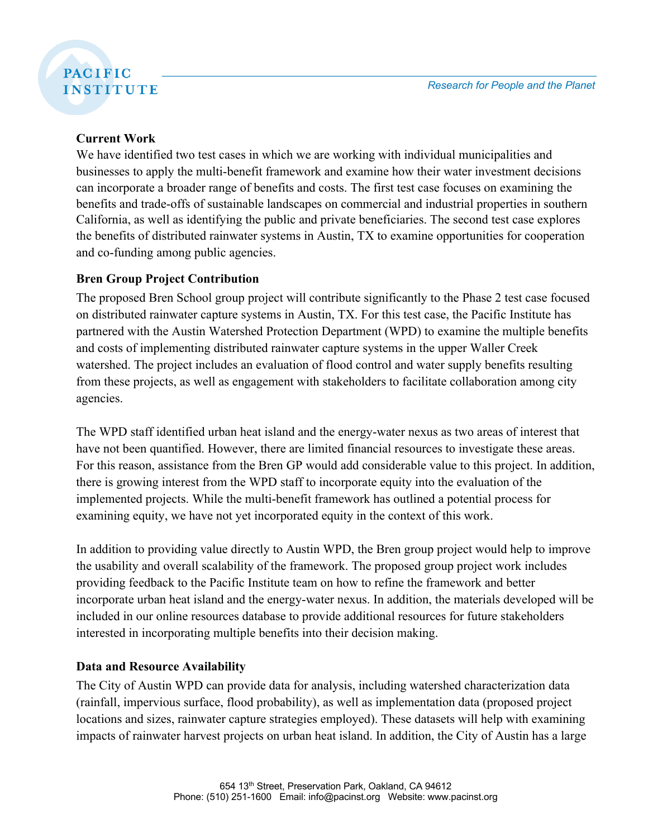# **PACIFIC INSTITUTE**

# **Current Work**

We have identified two test cases in which we are working with individual municipalities and businesses to apply the multi-benefit framework and examine how their water investment decisions can incorporate a broader range of benefits and costs. The first test case focuses on examining the benefits and trade-offs of sustainable landscapes on commercial and industrial properties in southern California, as well as identifying the public and private beneficiaries. The second test case explores the benefits of distributed rainwater systems in Austin, TX to examine opportunities for cooperation and co-funding among public agencies.

# **Bren Group Project Contribution**

The proposed Bren School group project will contribute significantly to the Phase 2 test case focused on distributed rainwater capture systems in Austin, TX. For this test case, the Pacific Institute has partnered with the Austin Watershed Protection Department (WPD) to examine the multiple benefits and costs of implementing distributed rainwater capture systems in the upper Waller Creek watershed. The project includes an evaluation of flood control and water supply benefits resulting from these projects, as well as engagement with stakeholders to facilitate collaboration among city agencies.

The WPD staff identified urban heat island and the energy-water nexus as two areas of interest that have not been quantified. However, there are limited financial resources to investigate these areas. For this reason, assistance from the Bren GP would add considerable value to this project. In addition, there is growing interest from the WPD staff to incorporate equity into the evaluation of the implemented projects. While the multi-benefit framework has outlined a potential process for examining equity, we have not yet incorporated equity in the context of this work.

In addition to providing value directly to Austin WPD, the Bren group project would help to improve the usability and overall scalability of the framework. The proposed group project work includes providing feedback to the Pacific Institute team on how to refine the framework and better incorporate urban heat island and the energy-water nexus. In addition, the materials developed will be included in our online resources database to provide additional resources for future stakeholders interested in incorporating multiple benefits into their decision making.

# **Data and Resource Availability**

The City of Austin WPD can provide data for analysis, including watershed characterization data (rainfall, impervious surface, flood probability), as well as implementation data (proposed project locations and sizes, rainwater capture strategies employed). These datasets will help with examining impacts of rainwater harvest projects on urban heat island. In addition, the City of Austin has a large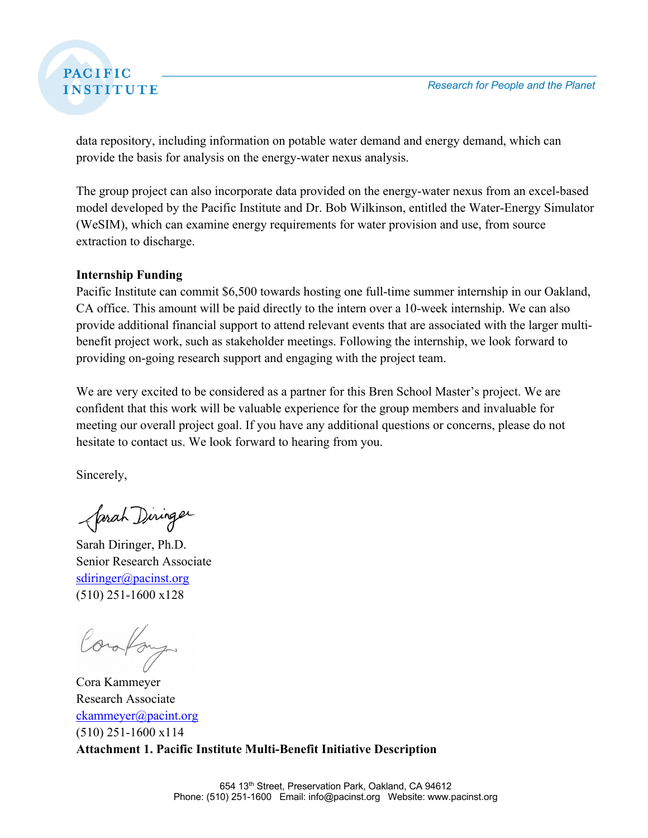# **PACIFIC INSTITUTE**

data repository, including information on potable water demand and energy demand, which can provide the basis for analysis on the energy-water nexus analysis.

The group project can also incorporate data provided on the energy-water nexus from an excel-based model developed by the Pacific Institute and Dr. Bob Wilkinson, entitled the Water-Energy Simulator (WeSIM), which can examine energy requirements for water provision and use, from source extraction to discharge.

## **Internship Funding**

Pacific Institute can commit \$6,500 towards hosting one full-time summer internship in our Oakland, CA office. This amount will be paid directly to the intern over a 10-week internship. We can also provide additional financial support to attend relevant events that are associated with the larger multibenefit project work, such as stakeholder meetings. Following the internship, we look forward to providing on-going research support and engaging with the project team.

We are very excited to be considered as a partner for this Bren School Master's project. We are confident that this work will be valuable experience for the group members and invaluable for meeting our overall project goal. If you have any additional questions or concerns, please do not hesitate to contact us. We look forward to hearing from you.

Sincerely,

farah Diringer

Sarah Diringer, Ph.D. Senior Research Associate sdiringer@pacinst.org (510) 251-1600 x128

orafan

Cora Kammeyer Research Associate ckammeyer@pacint.org (510) 251-1600 x114 **Attachment 1. Pacific Institute Multi-Benefit Initiative Description**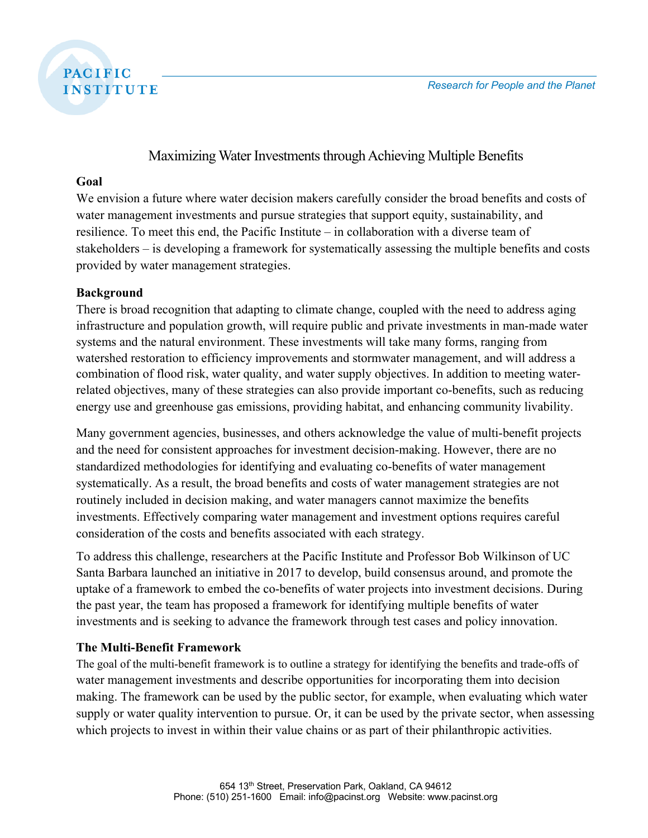

# Maximizing Water Investments through Achieving Multiple Benefits

## **Goal**

We envision a future where water decision makers carefully consider the broad benefits and costs of water management investments and pursue strategies that support equity, sustainability, and resilience. To meet this end, the Pacific Institute – in collaboration with a diverse team of stakeholders – is developing a framework for systematically assessing the multiple benefits and costs provided by water management strategies.

## **Background**

There is broad recognition that adapting to climate change, coupled with the need to address aging infrastructure and population growth, will require public and private investments in man-made water systems and the natural environment. These investments will take many forms, ranging from watershed restoration to efficiency improvements and stormwater management, and will address a combination of flood risk, water quality, and water supply objectives. In addition to meeting waterrelated objectives, many of these strategies can also provide important co-benefits, such as reducing energy use and greenhouse gas emissions, providing habitat, and enhancing community livability.

Many government agencies, businesses, and others acknowledge the value of multi-benefit projects and the need for consistent approaches for investment decision-making. However, there are no standardized methodologies for identifying and evaluating co-benefits of water management systematically. As a result, the broad benefits and costs of water management strategies are not routinely included in decision making, and water managers cannot maximize the benefits investments. Effectively comparing water management and investment options requires careful consideration of the costs and benefits associated with each strategy.

To address this challenge, researchers at the Pacific Institute and Professor Bob Wilkinson of UC Santa Barbara launched an initiative in 2017 to develop, build consensus around, and promote the uptake of a framework to embed the co-benefits of water projects into investment decisions. During the past year, the team has proposed a framework for identifying multiple benefits of water investments and is seeking to advance the framework through test cases and policy innovation.

# **The Multi-Benefit Framework**

The goal of the multi-benefit framework is to outline a strategy for identifying the benefits and trade-offs of water management investments and describe opportunities for incorporating them into decision making. The framework can be used by the public sector, for example, when evaluating which water supply or water quality intervention to pursue. Or, it can be used by the private sector, when assessing which projects to invest in within their value chains or as part of their philanthropic activities.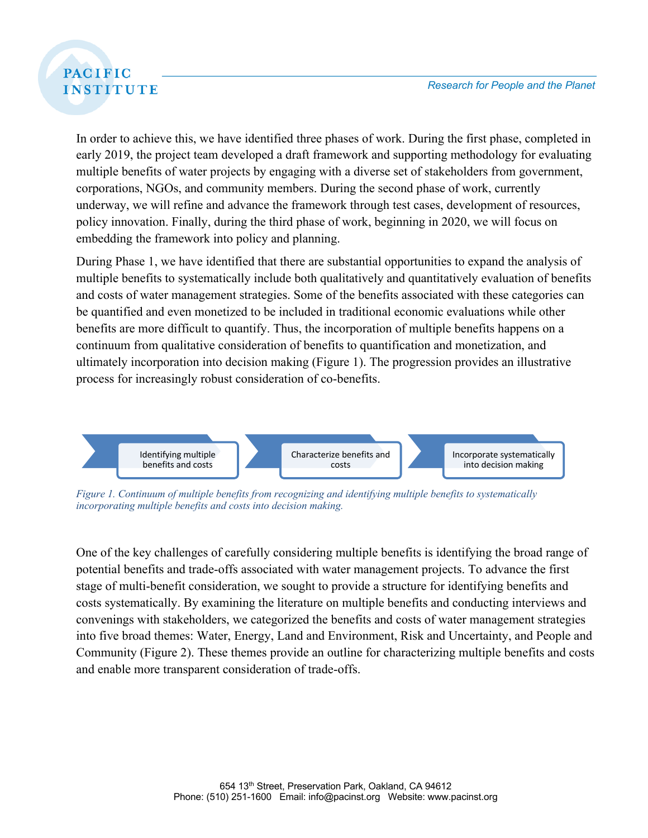# **PACIFIC INSTITUTE**

In order to achieve this, we have identified three phases of work. During the first phase, completed in early 2019, the project team developed a draft framework and supporting methodology for evaluating multiple benefits of water projects by engaging with a diverse set of stakeholders from government, corporations, NGOs, and community members. During the second phase of work, currently underway, we will refine and advance the framework through test cases, development of resources, policy innovation. Finally, during the third phase of work, beginning in 2020, we will focus on embedding the framework into policy and planning.

During Phase 1, we have identified that there are substantial opportunities to expand the analysis of multiple benefits to systematically include both qualitatively and quantitatively evaluation of benefits and costs of water management strategies. Some of the benefits associated with these categories can be quantified and even monetized to be included in traditional economic evaluations while other benefits are more difficult to quantify. Thus, the incorporation of multiple benefits happens on a continuum from qualitative consideration of benefits to quantification and monetization, and ultimately incorporation into decision making (Figure 1). The progression provides an illustrative process for increasingly robust consideration of co-benefits.



*Figure 1. Continuum of multiple benefits from recognizing and identifying multiple benefits to systematically incorporating multiple benefits and costs into decision making.* 

One of the key challenges of carefully considering multiple benefits is identifying the broad range of potential benefits and trade-offs associated with water management projects. To advance the first stage of multi-benefit consideration, we sought to provide a structure for identifying benefits and costs systematically. By examining the literature on multiple benefits and conducting interviews and convenings with stakeholders, we categorized the benefits and costs of water management strategies into five broad themes: Water, Energy, Land and Environment, Risk and Uncertainty, and People and Community (Figure 2). These themes provide an outline for characterizing multiple benefits and costs and enable more transparent consideration of trade-offs.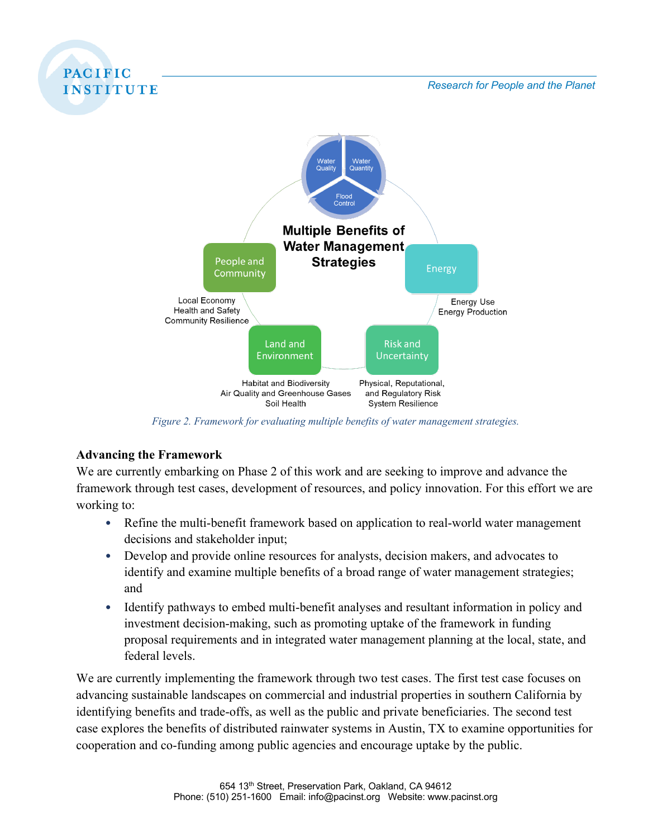

*Figure 2. Framework for evaluating multiple benefits of water management strategies.*

## **Advancing the Framework**

**PACIFIC** 

We are currently embarking on Phase 2 of this work and are seeking to improve and advance the framework through test cases, development of resources, and policy innovation. For this effort we are working to:

- Refine the multi-benefit framework based on application to real-world water management decisions and stakeholder input;
- Develop and provide online resources for analysts, decision makers, and advocates to identify and examine multiple benefits of a broad range of water management strategies; and
- Identify pathways to embed multi-benefit analyses and resultant information in policy and investment decision-making, such as promoting uptake of the framework in funding proposal requirements and in integrated water management planning at the local, state, and federal levels.

We are currently implementing the framework through two test cases. The first test case focuses on advancing sustainable landscapes on commercial and industrial properties in southern California by identifying benefits and trade-offs, as well as the public and private beneficiaries. The second test case explores the benefits of distributed rainwater systems in Austin, TX to examine opportunities for cooperation and co-funding among public agencies and encourage uptake by the public.